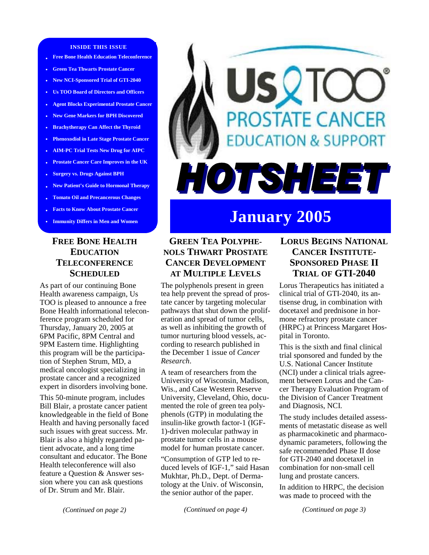#### **INSIDE THIS ISSUE**

- **Free Bone Health Education Teleconference**
- **• Green Tea Thwarts Prostate Cancer**
- **• New NCI-Sponsored Trial of GTI-2040**
- **• Us TOO Board of Directors and Officers**
- **• Agent Blocks Experimental Prostate Cancer**
- **• New Gene Markers for BPH Discovered**
- **• Brachytherapy Can Affect the Thyroid**
- **• Phenoxodiol in Late Stage Prostate Cancer**
- **• AIM-PC Trial Tests New Drug for AIPC**
- **• Prostate Cancer Care Improves in the UK**
- **• Surgery vs. Drugs Against BPH**
- **New Patient's Guide to Hormonal Therapy**
- **Tomato Oil and Precancerous Changes**
- **Facts to Know About Prostate Cancer**
- **• Immunity Differs in Men and Women**

#### **FREE BONE HEALTH EDUCATION TELECONFERENCE SCHEDULED**

As part of our continuing Bone Health awareness campaign, Us TOO is pleased to announce a free Bone Health informational teleconference program scheduled for Thursday, January 20, 2005 at 6PM Pacific, 8PM Central and 9PM Eastern time. Highlighting this program will be the participation of Stephen Strum, MD, a medical oncologist specializing in prostate cancer and a recognized expert in disorders involving bone.

This 50-minute program, includes Bill Blair, a prostate cancer patient knowledgeable in the field of Bone Health and having personally faced such issues with great success. Mr. Blair is also a highly regarded patient advocate, and a long time consultant and educator. The Bone Health teleconference will also feature a Question & Answer session where you can ask questions of Dr. Strum and Mr. Blair.

# SV *OSTATE CANCER* **UCATION & SUPPORT** HOTSHEET

# **January 2005**

## **GREEN TEA POLYPHE-NOLS THWART PROSTATE CANCER DEVELOPMENT AT MULTIPLE LEVELS**

The polyphenols present in green tea help prevent the spread of prostate cancer by targeting molecular pathways that shut down the proliferation and spread of tumor cells, as well as inhibiting the growth of tumor nurturing blood vessels, according to research published in the December 1 issue of *Cancer Research*.

A team of researchers from the University of Wisconsin, Madison, Wis., and Case Western Reserve University, Cleveland, Ohio, documented the role of green tea polyphenols (GTP) in modulating the insulin-like growth factor-1 (IGF-1)-driven molecular pathway in prostate tumor cells in a mouse model for human prostate cancer.

"Consumption of GTP led to reduced levels of IGF-1," said Hasan Mukhtar, Ph.D., Dept. of Dermatology at the Univ. of Wisconsin, the senior author of the paper.

## **LORUS BEGINS NATIONAL CANCER INSTITUTE-SPONSORED PHASE II TRIAL OF GTI-2040**

Lorus Therapeutics has initiated a clinical trial of GTI-2040, its antisense drug, in combination with docetaxel and prednisone in hormone refractory prostate cancer (HRPC) at Princess Margaret Hospital in Toronto.

This is the sixth and final clinical trial sponsored and funded by the U.S. National Cancer Institute (NCI) under a clinical trials agreement between Lorus and the Cancer Therapy Evaluation Program of the Division of Cancer Treatment and Diagnosis, NCI.

The study includes detailed assessments of metastatic disease as well as pharmacokinetic and pharmacodynamic parameters, following the safe recommended Phase II dose for GTI-2040 and docetaxel in combination for non-small cell lung and prostate cancers.

In addition to HRPC, the decision was made to proceed with the

*(Continued on page 2)* 

*(Continued on page 4)* 

*(Continued on page 3)*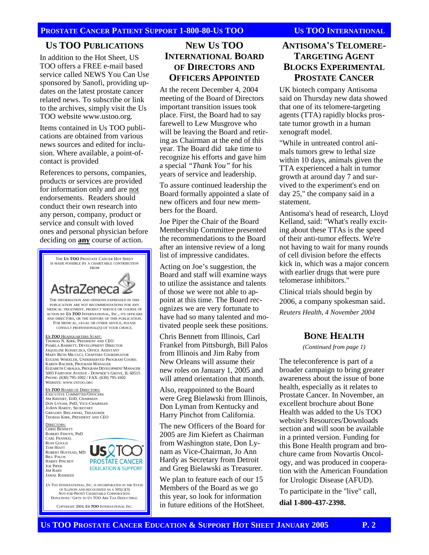#### **PROSTATE CANCER PATIENT SUPPORT 1-800-80-US TOO US TOO INTERNATIONAL**

#### **US TOO PUBLICATIONS**

In addition to the Hot Sheet, US TOO offers a FREE e-mail based service called NEWS You Can Use sponsored by Sanofi, providing updates on the latest prostate cancer related news. To subscribe or link to the archives, simply visit the Us TOO website www.ustoo.org.

Items contained in Us TOO publications are obtained from various news sources and edited for inclusion. Where available, a point-ofcontact is provided

References to persons, companies, products or services are provided for information only and are not endorsements. Readers should conduct their own research into any person, company, product or service and consult with loved ones and personal physician before deciding on **any** course of action.



COPYRIGHT 2004, *US TOO* INTERNATIONAL INC.

#### **NEW US TOO INTERNATIONAL BOARD OF DIRECTORS AND OFFICERS APPOINTED**

At the recent December 4, 2004 meeting of the Board of Directors important transition issues took place. First, the Board had to say farewell to Lew Musgrove who will be leaving the Board and retiring as Chairman at the end of this year. The Board did take time to recognize his efforts and gave him a special *"Thank You"* for his years of service and leadership.

To assure continued leadership the Board formally appointed a slate of new officers and four new members for the Board.

Joe Piper the Chair of the Board Membership Committee presented the recommendations to the Board after an intensive review of a long list of impressive candidates.

Acting on Joe's suggestion, the Board and staff will examine ways to utilize the assistance and talents of those we were not able to appoint at this time. The Board recognizes we are very fortunate to have had so many talented and motivated people seek these positions.

Chris Bennett from Illinois, Carl Frankel from Pittsburgh, Bill Palos from Illinois and Jim Raby from New Orleans will assume their new roles on January 1, 2005 and will attend orientation that month.

Also, reappointed to the Board were Greg Bielawski from Illinois, Don Lyman from Kentucky and Harry Pinchot from California.

The new Officers of the Board for 2005 are Jim Kiefert as Chairman from Washington state, Don Lynam as Vice-Chairman, Jo Ann Hardy as Secretary from Detroit and Greg Bielawski as Treasurer.

We plan to feature each of our 15 Members of the Board as we go this year, so look for information in future editions of the HotSheet.

### **ANTISOMA'S TELOMERE-TARGETING AGENT BLOCKS EXPERIMENTAL PROSTATE CANCER**

UK biotech company Antisoma said on Thursday new data showed that one of its telomere-targeting agents (TTA) rapidly blocks prostate tumor growth in a human xenograft model.

"While in untreated control animals tumors grew to lethal size within 10 days, animals given the TTA experienced a halt in tumor growth at around day 7 and survived to the experiment's end on day 25," the company said in a statement.

Antisoma's head of research, Lloyd Kelland, said: "What's really exciting about these TTAs is the speed of their anti-tumor effects. We're not having to wait for many rounds of cell division before the effects kick in, which was a major concern with earlier drugs that were pure telomerase inhibitors."

Clinical trials should begin by 2006, a company spokesman said.

*(Continued from page 1)* 

The teleconference is part of a broader campaign to bring greater awareness about the issue of bone health, especially as it relates to Prostate Cancer. In November, an excellent brochure about Bone Health was added to the Us TOO website's Resources/Downloads section and will soon be available in a printed version. Funding for this Bone Health program and brochure came from Novartis Oncology, and was produced in cooperation with the American Foundation for Urologic Disease (AFUD).

To participate in the "live" call, **dial 1-800-437-2398.** 

*Reuters Health, 4 November 2004* 

### **BONE HEALTH**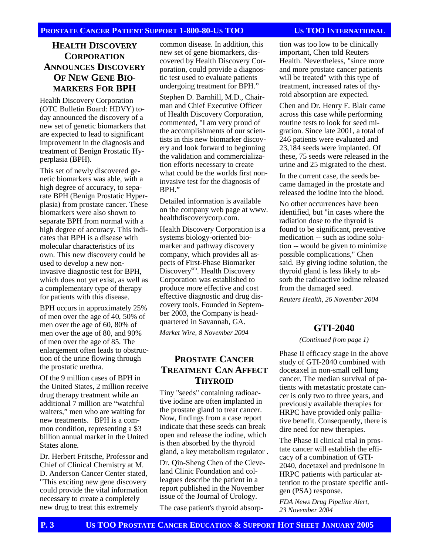### **HEALTH DISCOVERY CORPORATION ANNOUNCES DISCOVERY OF NEW GENE BIO-MARKERS FOR BPH**

Health Discovery Corporation (OTC Bulletin Board: HDVY) today announced the discovery of a new set of genetic biomarkers that are expected to lead to significant improvement in the diagnosis and treatment of Benign Prostatic Hyperplasia (BPH).

This set of newly discovered genetic biomarkers was able, with a high degree of accuracy, to separate BPH (Benign Prostatic Hyperplasia) from prostate cancer. These biomarkers were also shown to separate BPH from normal with a high degree of accuracy. This indicates that BPH is a disease with molecular characteristics of its own. This new discovery could be used to develop a new noninvasive diagnostic test for BPH, which does not yet exist, as well as a complementary type of therapy for patients with this disease.

BPH occurs in approximately 25% of men over the age of 40, 50% of men over the age of 60, 80% of men over the age of 80, and 90% of men over the age of 85. The enlargement often leads to obstruction of the urine flowing through the prostatic urethra.

Of the 9 million cases of BPH in the United States, 2 million receive drug therapy treatment while an additional 7 million are "watchful waiters," men who are waiting for new treatments. BPH is a common condition, representing a \$3 billion annual market in the United States alone.

Dr. Herbert Fritsche, Professor and Chief of Clinical Chemistry at M. D. Anderson Cancer Center stated, "This exciting new gene discovery could provide the vital information necessary to create a completely new drug to treat this extremely

common disease. In addition, this new set of gene biomarkers, discovered by Health Discovery Corporation, could provide a diagnostic test used to evaluate patients undergoing treatment for BPH."

Stephen D. Barnhill, M.D., Chairman and Chief Executive Officer of Health Discovery Corporation, commented, "I am very proud of the accomplishments of our scientists in this new biomarker discovery and look forward to beginning the validation and commercialization efforts necessary to create what could be the worlds first noninvasive test for the diagnosis of BPH."

Detailed information is available on the company web page at www. healthdiscoverycorp.com.

Health Discovery Corporation is a systems biology-oriented biomarker and pathway discovery company, which provides all aspects of First-Phase Biomarker Discovery<sup>sm</sup>. Health Discovery Corporation was established to produce more effective and cost effective diagnostic and drug discovery tools. Founded in September 2003, the Company is headquartered in Savannah, GA.

*Market Wire, 8 November 2004* 

#### **PROSTATE CANCER TREATMENT CAN AFFECT THYROID**

Tiny "seeds" containing radioactive iodine are often implanted in the prostate gland to treat cancer. Now, findings from a case report indicate that these seeds can break open and release the iodine, which is then absorbed by the thyroid gland, a key metabolism regulator .

Dr. Qin-Sheng Chen of the Cleveland Clinic Foundation and colleagues describe the patient in a report published in the November issue of the Journal of Urology.

The case patient's thyroid absorp-

tion was too low to be clinically important, Chen told Reuters Health. Nevertheless, "since more and more prostate cancer patients will be treated" with this type of treatment, increased rates of thyroid absorption are expected.

Chen and Dr. Henry F. Blair came across this case while performing routine tests to look for seed migration. Since late 2001, a total of 246 patients were evaluated and 23,184 seeds were implanted. Of these, 75 seeds were released in the urine and 25 migrated to the chest.

In the current case, the seeds became damaged in the prostate and released the iodine into the blood.

No other occurrences have been identified, but "in cases where the radiation dose to the thyroid is found to be significant, preventive medication -- such as iodine solution -- would be given to minimize possible complications," Chen said. By giving iodine solution, the thyroid gland is less likely to absorb the radioactive iodine released from the damaged seed.

*Reuters Health, 26 November 2004* 

### **GTI-2040**

*(Continued from page 1)* 

Phase II efficacy stage in the above study of GTI-2040 combined with docetaxel in non-small cell lung cancer. The median survival of patients with metastatic prostate cancer is only two to three years, and previously available therapies for HRPC have provided only palliative benefit. Consequently, there is dire need for new therapies.

The Phase II clinical trial in prostate cancer will establish the efficacy of a combination of GTI-2040, docetaxel and prednisone in HRPC patients with particular attention to the prostate specific antigen (PSA) response.

*FDA News Drug Pipeline Alert, 23 November 2004*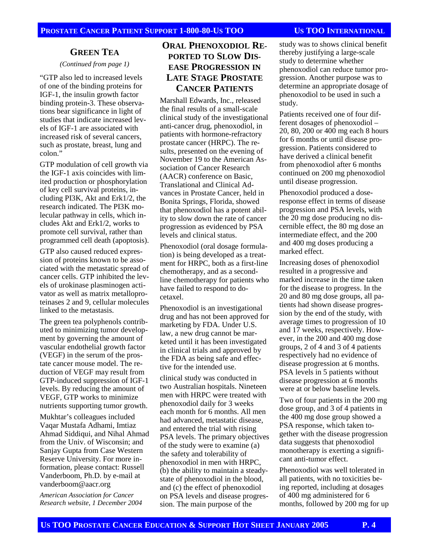#### **GREEN TEA**

*(Continued from page 1)* 

"GTP also led to increased levels of one of the binding proteins for IGF-1, the insulin growth factor binding protein-3. These observations bear significance in light of studies that indicate increased levels of IGF-1 are associated with increased risk of several cancers, such as prostate, breast, lung and colon."

GTP modulation of cell growth via the IGF-1 axis coincides with limited production or phosphorylation of key cell survival proteins, including PI3K, Akt and Erk1/2, the research indicated. The PI3K molecular pathway in cells, which includes Akt and Erk1/2, works to promote cell survival, rather than programmed cell death (apoptosis).

GTP also caused reduced expression of proteins known to be associated with the metastatic spread of cancer cells. GTP inhibited the levels of urokinase plasminogen activator as well as matrix metalloproteinases 2 and 9, cellular molecules linked to the metastasis.

The green tea polyphenols contributed to minimizing tumor development by governing the amount of vascular endothelial growth factor (VEGF) in the serum of the prostate cancer mouse model. The reduction of VEGF may result from GTP-induced suppression of IGF-1 levels. By reducing the amount of VEGF, GTP works to minimize nutrients supporting tumor growth.

Mukhtar's colleagues included Vaqar Mustafa Adhami, Imtiaz Ahmad Siddiqui, and Nihal Ahmad from the Univ. of Wisconsin; and Sanjay Gupta from Case Western Reserve University. For more information, please contact: Russell Vanderboom, Ph.D. by e-mail at vanderboom@aacr.org

*American Association for Cancer Research website, 1 December 2004* 

### **ORAL PHENOXODIOL RE-PORTED TO SLOW DIS-EASE PROGRESSION IN LATE STAGE PROSTATE CANCER PATIENTS**

Marshall Edwards, Inc., released the final results of a small-scale clinical study of the investigational anti-cancer drug, phenoxodiol, in patients with hormone-refractory prostate cancer (HRPC). The results, presented on the evening of November 19 to the American Association of Cancer Research (AACR) conference on Basic, Translational and Clinical Advances in Prostate Cancer, held in Bonita Springs, Florida, showed that phenoxodiol has a potent ability to slow down the rate of cancer progression as evidenced by PSA levels and clinical status.

Phenoxodiol (oral dosage formulation) is being developed as a treatment for HRPC, both as a first-line chemotherapy, and as a secondline chemotherapy for patients who have failed to respond to docetaxel.

Phenoxodiol is an investigational drug and has not been approved for marketing by FDA. Under U.S. law, a new drug cannot be marketed until it has been investigated in clinical trials and approved by the FDA as being safe and effective for the intended use.

clinical study was conducted in two Australian hospitals. Nineteen men with HRPC were treated with phenoxodiol daily for 3 weeks each month for 6 months. All men had advanced, metastatic disease, and entered the trial with rising PSA levels. The primary objectives of the study were to examine (a) the safety and tolerability of phenoxodiol in men with HRPC, (b) the ability to maintain a steadystate of phenoxodiol in the blood, and (c) the effect of phenoxodiol on PSA levels and disease progression. The main purpose of the

study was to shows clinical benefit thereby justifying a large-scale study to determine whether phenoxodiol can reduce tumor progression. Another purpose was to determine an appropriate dosage of phenoxodiol to be used in such a study.

Patients received one of four different dosages of phenoxodiol – 20, 80, 200 or 400 mg each 8 hours for 6 months or until disease progression. Patients considered to have derived a clinical benefit from phenoxodiol after 6 months continued on 200 mg phenoxodiol until disease progression.

Phenoxodiol produced a doseresponse effect in terms of disease progression and PSA levels, with the 20 mg dose producing no discernible effect, the 80 mg dose an intermediate effect, and the 200 and 400 mg doses producing a marked effect.

Increasing doses of phenoxodiol resulted in a progressive and marked increase in the time taken for the disease to progress. In the 20 and 80 mg dose groups, all patients had shown disease progression by the end of the study, with average times to progression of 10 and 17 weeks, respectively. However, in the 200 and 400 mg dose groups, 2 of 4 and 3 of 4 patients respectively had no evidence of disease progression at 6 months. PSA levels in 5 patients without disease progression at 6 months were at or below baseline levels.

Two of four patients in the 200 mg dose group, and 3 of 4 patients in the 400 mg dose group showed a PSA response, which taken together with the disease progression data suggests that phenoxodiol monotherapy is exerting a significant anti-tumor effect.

Phenoxodiol was well tolerated in all patients, with no toxicities being reported, including at dosages of 400 mg administered for 6 months, followed by 200 mg for up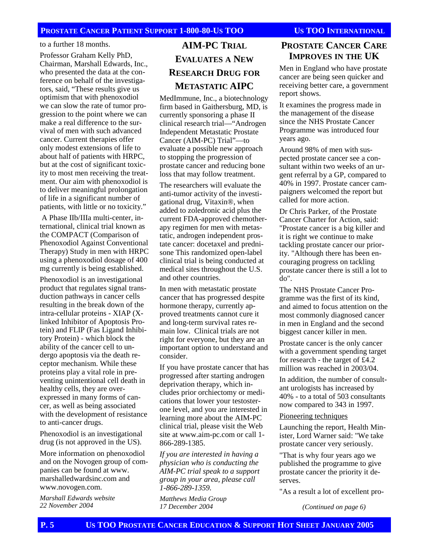#### **PROSTATE CANCER PATIENT SUPPORT 1-800-80-US TOO US TOO INTERNATIONAL**

#### to a further 18 months.

Professor Graham Kelly PhD, Chairman, Marshall Edwards, Inc., who presented the data at the conference on behalf of the investigators, said, "These results give us optimism that with phenoxodiol we can slow the rate of tumor progression to the point where we can make a real difference to the survival of men with such advanced cancer. Current therapies offer only modest extensions of life to about half of patients with HRPC, but at the cost of significant toxicity to most men receiving the treatment. Our aim with phenoxodiol is to deliver meaningful prolongation of life in a significant number of patients, with little or no toxicity."

 A Phase IIb/IIIa multi-center, international, clinical trial known as the COMPACT (Comparison of Phenoxodiol Against Conventional Therapy) Study in men with HRPC using a phenoxodiol dosage of 400 mg currently is being established.

Phenoxodiol is an investigational product that regulates signal transduction pathways in cancer cells resulting in the break down of the intra-cellular proteins - XIAP (Xlinked Inhibitor of Apoptosis Protein) and FLIP (Fas Ligand Inhibitory Protein) - which block the ability of the cancer cell to undergo apoptosis via the death receptor mechanism. While these proteins play a vital role in preventing unintentional cell death in healthy cells, they are overexpressed in many forms of cancer, as well as being associated with the development of resistance to anti-cancer drugs.

Phenoxodiol is an investigational drug (is not approved in the US).

More information on phenoxodiol and on the Novogen group of companies can be found at www. marshalledwardsinc.com and www.novogen.com.

*Marshall Edwards website 22 November 2004* 

## **AIM-PC TRIAL EVALUATES A NEW RESEARCH DRUG FOR METASTATIC AIPC**

MedImmune, Inc., a biotechnology firm based in Gaithersburg, MD, is currently sponsoring a phase II clinical research trial—"Androgen Independent Metastatic Prostate Cancer (AIM-PC) Trial"—to evaluate a possible new approach to stopping the progression of prostate cancer and reducing bone loss that may follow treatment.

The researchers will evaluate the anti-tumor activity of the investigational drug, Vitaxin®, when added to zoledronic acid plus the current FDA-approved chemotherapy regimen for men with metastatic, androgen independent prostate cancer: docetaxel and prednisone This randomized open-label clinical trial is being conducted at medical sites throughout the U.S. and other countries.

In men with metastatic prostate cancer that has progressed despite hormone therapy, currently approved treatments cannot cure it and long-term survival rates remain low. Clinical trials are not right for everyone, but they are an important option to understand and consider.

If you have prostate cancer that has progressed after starting androgen deprivation therapy, which includes prior orchiectomy or medications that lower your testosterone level, and you are interested in learning more about the AIM-PC clinical trial, please visit the Web site at www.aim-pc.com or call 1- 866-289-1385.

*If you are interested in having a physician who is conducting the AIM-PC trial speak to a support group in your area, please call 1-866-289-1359.* 

*Matthews Media Group 17 December 2004* 

# **PROSTATE CANCER CARE**

**IMPROVES IN THE UK** 

Men in England who have prostate cancer are being seen quicker and receiving better care, a government report shows.

It examines the progress made in the management of the disease since the NHS Prostate Cancer Programme was introduced four years ago.

Around 98% of men with suspected prostate cancer see a consultant within two weeks of an urgent referral by a GP, compared to 40% in 1997. Prostate cancer campaigners welcomed the report but called for more action.

Dr Chris Parker, of the Prostate Cancer Charter for Action, said: "Prostate cancer is a big killer and it is right we continue to make tackling prostate cancer our priority. "Although there has been encouraging progress on tackling prostate cancer there is still a lot to do".

The NHS Prostate Cancer Programme was the first of its kind, and aimed to focus attention on the most commonly diagnosed cancer in men in England and the second biggest cancer killer in men.

Prostate cancer is the only cancer with a government spending target for research - the target of £4.2 million was reached in 2003/04.

In addition, the number of consultant urologists has increased by 40% - to a total of 503 consultants now compared to 343 in 1997.

#### Pioneering techniques

Launching the report, Health Minister, Lord Warner said: "We take prostate cancer very seriously.

"That is why four years ago we published the programme to give prostate cancer the priority it deserves.

"As a result a lot of excellent pro-

*(Continued on page 6)*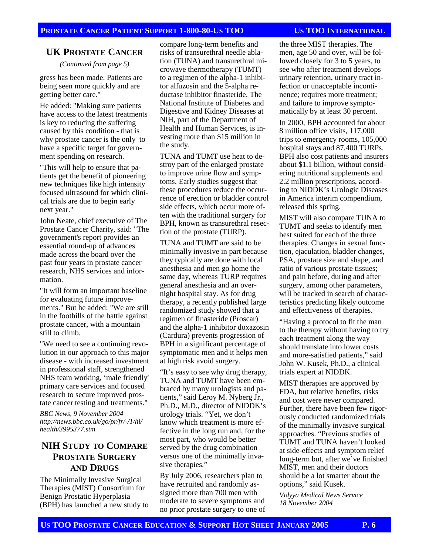### **UK PROSTATE CANCER**

*(Continued from page 5)* 

gress has been made. Patients are being seen more quickly and are getting better care."

He added: "Making sure patients have access to the latest treatments is key to reducing the suffering caused by this condition - that is why prostate cancer is the only to have a specific target for government spending on research.

"This will help to ensure that patients get the benefit of pioneering new techniques like high intensity focused ultrasound for which clinical trials are due to begin early next year."

John Neate, chief executive of The Prostate Cancer Charity, said: "The government's report provides an essential round-up of advances made across the board over the past four years in prostate cancer research, NHS services and information.

"It will form an important baseline for evaluating future improvements." But he added: "We are still in the foothills of the battle against prostate cancer, with a mountain still to climb.

"We need to see a continuing revolution in our approach to this major disease - with increased investment in professional staff, strengthened NHS team working, 'male friendly' primary care services and focused research to secure improved prostate cancer testing and treatments."

*BBC News, 9 November 2004 http://news.bbc.co.uk/go/pr/fr/-/1/hi/ health/3995377.stm*

## **NIH STUDY TO COMPARE PROSTATE SURGERY AND DRUGS**

The Minimally Invasive Surgical Therapies (MIST) Consortium for Benign Prostatic Hyperplasia (BPH) has launched a new study to compare long-term benefits and risks of transurethral needle ablation (TUNA) and transurethral microwave thermotherapy (TUMT) to a regimen of the alpha-1 inhibitor alfuzosin and the 5-alpha reductase inhibitor finasteride. The National Institute of Diabetes and Digestive and Kidney Diseases at NIH, part of the Department of Health and Human Services, is investing more than \$15 million in the study.

TUNA and TUMT use heat to destroy part of the enlarged prostate to improve urine flow and symptoms. Early studies suggest that these procedures reduce the occurrence of erection or bladder control side effects, which occur more often with the traditional surgery for BPH, known as transurethral resection of the prostate (TURP).

TUNA and TUMT are said to be minimally invasive in part because they typically are done with local anesthesia and men go home the same day, whereas TURP requires general anesthesia and an overnight hospital stay. As for drug therapy, a recently published large randomized study showed that a regimen of finasteride (Proscar) and the alpha-1 inhibitor doxazosin (Cardura) prevents progression of BPH in a significant percentage of symptomatic men and it helps men at high risk avoid surgery.

"It's easy to see why drug therapy, TUNA and TUMT have been embraced by many urologists and patients," said Leroy M. Nyberg Jr., Ph.D., M.D., director of NIDDK's urology trials. "Yet, we don't know which treatment is more effective in the long run and, for the most part, who would be better served by the drug combination versus one of the minimally invasive therapies."

By July 2006, researchers plan to have recruited and randomly assigned more than 700 men with moderate to severe symptoms and no prior prostate surgery to one of

the three MIST therapies. The men, age 50 and over, will be followed closely for 3 to 5 years, to see who after treatment develops urinary retention, urinary tract infection or unacceptable incontinence; requires more treatment; and failure to improve symptomatically by at least 30 percent.

In 2000, BPH accounted for about 8 million office visits, 117,000 trips to emergency rooms, 105,000 hospital stays and 87,400 TURPs. BPH also cost patients and insurers about \$1.1 billion, without considering nutritional supplements and 2.2 million prescriptions, according to NIDDK's Urologic Diseases in America interim compendium, released this spring.

MIST will also compare TUNA to TUMT and seeks to identify men best suited for each of the three therapies. Changes in sexual function, ejaculation, bladder changes, PSA, prostate size and shape, and ratio of various prostate tissues; and pain before, during and after surgery, among other parameters, will be tracked in search of characteristics predicting likely outcome and effectiveness of therapies.

"Having a protocol to fit the man to the therapy without having to try each treatment along the way should translate into lower costs and more-satisfied patients," said John W. Kusek, Ph.D., a clinical trials expert at NIDDK.

MIST therapies are approved by FDA, but relative benefits, risks and cost were never compared. Further, there have been few rigorously conducted randomized trials of the minimally invasive surgical approaches. "Previous studies of TUMT and TUNA haven't looked at side-effects and symptom relief long-term but, after we've finished MIST, men and their doctors should be a lot smarter about the options," said Kusek.

*Vidyya Medical News Service 18 November 2004*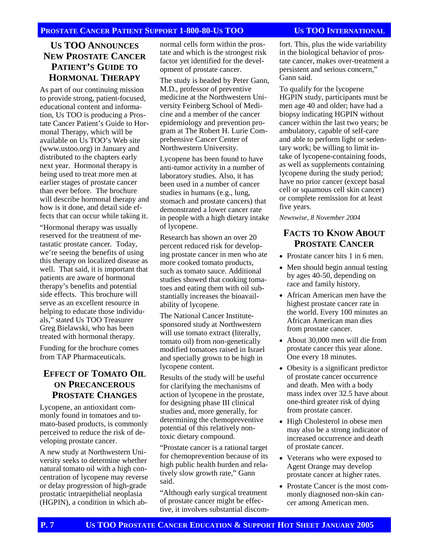## **US TOO ANNOUNCES NEW PROSTATE CANCER PATIENT'S GUIDE TO HORMONAL THERAPY**

As part of our continuing mission to provide strong, patient-focused, educational content and information, Us TOO is producing a Prostate Cancer Patient's Guide to Hormonal Therapy, which will be available on Us TOO's Web site (www.ustoo.org) in January and distributed to the chapters early next year. Hormonal therapy is being used to treat more men at earlier stages of prostate cancer than ever before. The brochure will describe hormonal therapy and how is it done, and detail side effects that can occur while taking it.

"Hormonal therapy was usually reserved for the treatment of metastatic prostate cancer. Today, we're seeing the benefits of using this therapy on localized disease as well. That said, it is important that patients are aware of hormonal therapy's benefits and potential side effects. This brochure will serve as an excellent resource in helping to educate those individuals," stated Us TOO Treasurer Greg Bielawski, who has been treated with hormonal therapy.

Funding for the brochure comes from TAP Pharmaceuticals.

#### **EFFECT OF TOMATO OIL ON PRECANCEROUS PROSTATE CHANGES**

Lycopene, an antioxidant commonly found in tomatoes and tomato-based products, is commonly perceived to reduce the risk of developing prostate cancer.

A new study at Northwestern University seeks to determine whether natural tomato oil with a high concentration of lycopene may reverse or delay progression of high-grade prostatic intraepithelial neoplasia (HGPIN), a condition in which abnormal cells form within the prostate and which is the strongest risk factor yet identified for the development of prostate cancer.

The study is headed by Peter Gann, M.D., professor of preventive medicine at the Northwestern University Feinberg School of Medicine and a member of the cancer epidemiology and prevention program at The Robert H. Lurie Comprehensive Cancer Center of Northwestern University.

Lycopene has been found to have anti-tumor activity in a number of laboratory studies. Also, it has been used in a number of cancer studies in humans (e.g., lung, stomach and prostate cancers) that demonstrated a lower cancer rate in people with a high dietary intake of lycopene.

Research has shown an over 20 percent reduced risk for developing prostate cancer in men who ate more cooked tomato products, such as tomato sauce. Additional studies showed that cooking tomatoes and eating them with oil substantially increases the bioavailability of lycopene.

The National Cancer Institutesponsored study at Northwestern will use tomato extract (literally, tomato oil) from non-genetically modified tomatoes raised in Israel and specially grown to be high in lycopene content.

Results of the study will be useful for clarifying the mechanisms of action of lycopene in the prostate, for designing phase III clinical studies and, more generally, for determining the chemopreventive potential of this relatively nontoxic dietary compound.

"Prostate cancer is a rational target for chemoprevention because of its high public health burden and relatively slow growth rate," Gann said.

"Although early surgical treatment of prostate cancer might be effective, it involves substantial discom-

fort. This, plus the wide variability in the biological behavior of prostate cancer, makes over-treatment a persistent and serious concern," Gann said.

To qualify for the lycopene HGPIN study, participants must be men age 40 and older; have had a biopsy indicating HGPIN without cancer within the last two years; be ambulatory, capable of self-care and able to perform light or sedentary work; be willing to limit intake of lycopene-containing foods, as well as supplements containing lycopene during the study period; have no prior cancer (except basal cell or squamous cell skin cancer) or complete remission for at least five years.

*Newswise, 8 November 2004* 

#### **FACTS TO KNOW ABOUT PROSTATE CANCER**

- Prostate cancer hits 1 in 6 men.
- Men should begin annual testing by ages 40-50, depending on race and family history.
- African American men have the highest prostate cancer rate in the world. Every 100 minutes an African American man dies from prostate cancer.
- About 30,000 men will die from prostate cancer this year alone. One every 18 minutes.
- Obesity is a significant predictor of prostate cancer occurrence and death. Men with a body mass index over 32.5 have about one-third greater risk of dying from prostate cancer.
- High Cholesterol in obese men may also be a strong indicator of increased occurrence and death of prostate cancer.
- Veterans who were exposed to Agent Orange may develop prostate cancer at higher rates.
- Prostate Cancer is the most commonly diagnosed non-skin cancer among American men.